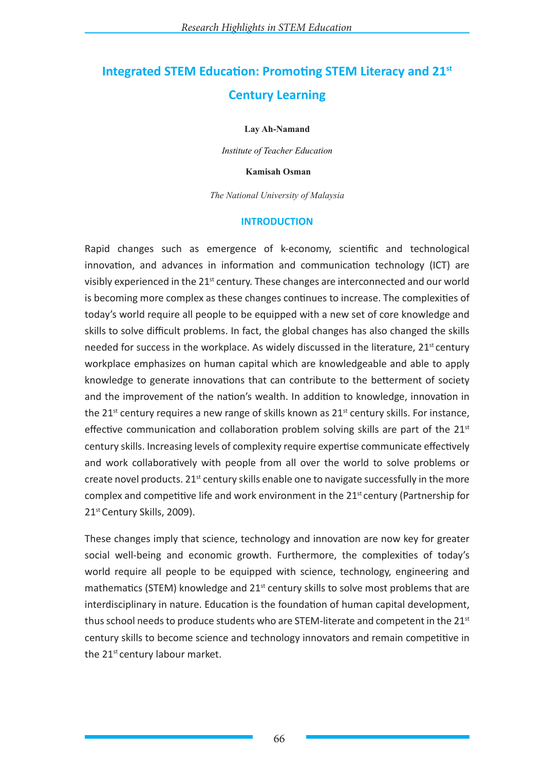# **Integrated STEM Education: Promoting STEM Literacy and 21st Century Learning**

### **Lay Ah-Namand**

*Institute of Teacher Education*

### **Kamisah Osman**

*The National University of Malaysia*

### **INTRODUCTION**

Rapid changes such as emergence of k-economy, scientific and technological innovation, and advances in information and communication technology (ICT) are visibly experienced in the 21<sup>st</sup> century. These changes are interconnected and our world is becoming more complex as these changes continues to increase. The complexities of today's world require all people to be equipped with a new set of core knowledge and skills to solve difficult problems. In fact, the global changes has also changed the skills needed for success in the workplace. As widely discussed in the literature, 21<sup>st</sup> century workplace emphasizes on human capital which are knowledgeable and able to apply knowledge to generate innovations that can contribute to the betterment of society and the improvement of the nation's wealth. In addition to knowledge, innovation in the  $21<sup>st</sup>$  century requires a new range of skills known as  $21<sup>st</sup>$  century skills. For instance, effective communication and collaboration problem solving skills are part of the  $21<sup>st</sup>$ century skills. Increasing levels of complexity require expertise communicate effectively and work collaboratively with people from all over the world to solve problems or create novel products.  $21^{st}$  century skills enable one to navigate successfully in the more complex and competitive life and work environment in the  $21<sup>st</sup>$  century (Partnership for 21st Century Skills, 2009).

These changes imply that science, technology and innovation are now key for greater social well-being and economic growth. Furthermore, the complexities of today's world require all people to be equipped with science, technology, engineering and mathematics (STEM) knowledge and  $21<sup>st</sup>$  century skills to solve most problems that are interdisciplinary in nature. Education is the foundation of human capital development, thus school needs to produce students who are STEM-literate and competent in the 21st century skills to become science and technology innovators and remain competitive in the 21<sup>st</sup> century labour market.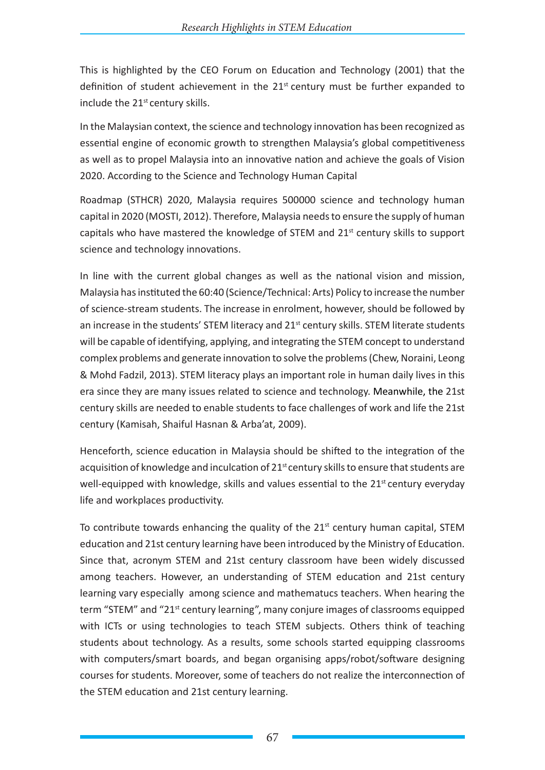This is highlighted by the CEO Forum on Education and Technology (2001) that the definition of student achievement in the  $21<sup>st</sup>$  century must be further expanded to include the  $21<sup>st</sup>$  century skills.

In the Malaysian context, the science and technology innovation has been recognized as essential engine of economic growth to strengthen Malaysia's global competitiveness as well as to propel Malaysia into an innovative nation and achieve the goals of Vision 2020. According to the Science and Technology Human Capital

Roadmap (STHCR) 2020, Malaysia requires 500000 science and technology human capital in 2020 (MOSTI, 2012). Therefore, Malaysia needs to ensure the supply of human capitals who have mastered the knowledge of STEM and  $21<sup>st</sup>$  century skills to support science and technology innovations.

In line with the current global changes as well as the national vision and mission, Malaysia has instituted the 60:40 (Science/Technical: Arts) Policy to increase the number of science-stream students. The increase in enrolment, however, should be followed by an increase in the students' STEM literacy and  $21<sup>st</sup>$  century skills. STEM literate students will be capable of identifying, applying, and integrating the STEM concept to understand complex problems and generate innovation to solve the problems (Chew, Noraini, Leong & Mohd Fadzil, 2013). STEM literacy plays an important role in human daily lives in this era since they are many issues related to science and technology. Meanwhile, the 21st century skills are needed to enable students to face challenges of work and life the 21st century (Kamisah, Shaiful Hasnan & Arba'at, 2009).

Henceforth, science education in Malaysia should be shifted to the integration of the acquisition of knowledge and inculcation of 21<sup>st</sup> century skills to ensure that students are well-equipped with knowledge, skills and values essential to the 21<sup>st</sup> century everyday life and workplaces productivity.

To contribute towards enhancing the quality of the  $21<sup>st</sup>$  century human capital, STEM education and 21st century learning have been introduced by the Ministry of Education. Since that, acronym STEM and 21st century classroom have been widely discussed among teachers. However, an understanding of STEM education and 21st century learning vary especially among science and mathematucs teachers. When hearing the term "STEM" and "21<sup>st</sup> century learning", many conjure images of classrooms equipped with ICTs or using technologies to teach STEM subjects. Others think of teaching students about technology. As a results, some schools started equipping classrooms with computers/smart boards, and began organising apps/robot/software designing courses for students. Moreover, some of teachers do not realize the interconnection of the STEM education and 21st century learning.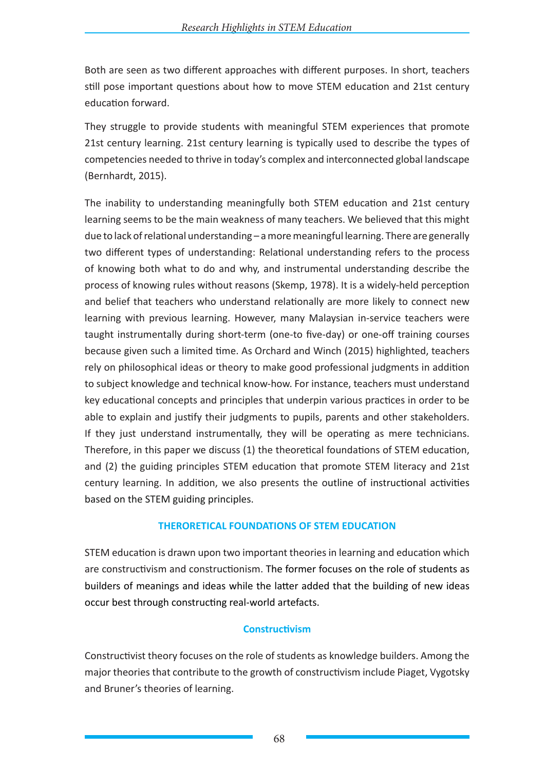Both are seen as two different approaches with different purposes. In short, teachers still pose important questions about how to move STEM education and 21st century education forward.

They struggle to provide students with meaningful STEM experiences that promote 21st century learning. 21st century learning is typically used to describe the types of competencies needed to thrive in today's complex and interconnected global landscape (Bernhardt, 2015).

The inability to understanding meaningfully both STEM education and 21st century learning seems to be the main weakness of many teachers. We believed that this might due to lack of relational understanding – a more meaningful learning. There are generally two different types of understanding: Relational understanding refers to the process of knowing both what to do and why, and instrumental understanding describe the process of knowing rules without reasons (Skemp, 1978). It is a widely-held perception and belief that teachers who understand relationally are more likely to connect new learning with previous learning. However, many Malaysian in-service teachers were taught instrumentally during short-term (one-to five-day) or one-off training courses because given such a limited time. As Orchard and Winch (2015) highlighted, teachers rely on philosophical ideas or theory to make good professional judgments in addition to subject knowledge and technical know-how. For instance, teachers must understand key educational concepts and principles that underpin various practices in order to be able to explain and justify their judgments to pupils, parents and other stakeholders. If they just understand instrumentally, they will be operating as mere technicians. Therefore, in this paper we discuss (1) the theoretical foundations of STEM education, and (2) the guiding principles STEM education that promote STEM literacy and 21st century learning. In addition, we also presents the outline of instructional activities based on the STEM guiding principles.

### **THERORETICAL FOUNDATIONS OF STEM EDUCATION**

STEM education is drawn upon two important theories in learning and education which are constructivism and constructionism. The former focuses on the role of students as builders of meanings and ideas while the latter added that the building of new ideas occur best through constructing real-world artefacts.

# **Constructivism**

Constructivist theory focuses on the role of students as knowledge builders. Among the major theories that contribute to the growth of constructivism include Piaget, Vygotsky and Bruner's theories of learning.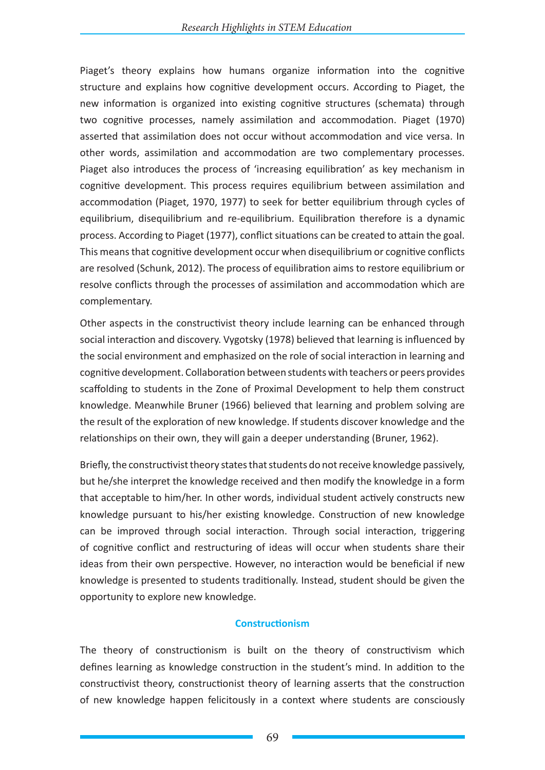Piaget's theory explains how humans organize information into the cognitive structure and explains how cognitive development occurs. According to Piaget, the new information is organized into existing cognitive structures (schemata) through two cognitive processes, namely assimilation and accommodation. Piaget (1970) asserted that assimilation does not occur without accommodation and vice versa. In other words, assimilation and accommodation are two complementary processes. Piaget also introduces the process of 'increasing equilibration' as key mechanism in cognitive development. This process requires equilibrium between assimilation and accommodation (Piaget, 1970, 1977) to seek for better equilibrium through cycles of equilibrium, disequilibrium and re-equilibrium. Equilibration therefore is a dynamic process. According to Piaget (1977), conflict situations can be created to attain the goal. This means that cognitive development occur when disequilibrium or cognitive conflicts are resolved (Schunk, 2012). The process of equilibration aims to restore equilibrium or resolve conflicts through the processes of assimilation and accommodation which are complementary.

Other aspects in the constructivist theory include learning can be enhanced through social interaction and discovery. Vygotsky (1978) believed that learning is influenced by the social environment and emphasized on the role of social interaction in learning and cognitive development. Collaboration between students with teachers or peers provides scaffolding to students in the Zone of Proximal Development to help them construct knowledge. Meanwhile Bruner (1966) believed that learning and problem solving are the result of the exploration of new knowledge. If students discover knowledge and the relationships on their own, they will gain a deeper understanding (Bruner, 1962).

Briefly, the constructivist theory states that students do not receive knowledge passively, but he/she interpret the knowledge received and then modify the knowledge in a form that acceptable to him/her. In other words, individual student actively constructs new knowledge pursuant to his/her existing knowledge. Construction of new knowledge can be improved through social interaction. Through social interaction, triggering of cognitive conflict and restructuring of ideas will occur when students share their ideas from their own perspective. However, no interaction would be beneficial if new knowledge is presented to students traditionally. Instead, student should be given the opportunity to explore new knowledge.

### **Constructionism**

The theory of constructionism is built on the theory of constructivism which defines learning as knowledge construction in the student's mind. In addition to the constructivist theory, constructionist theory of learning asserts that the construction of new knowledge happen felicitously in a context where students are consciously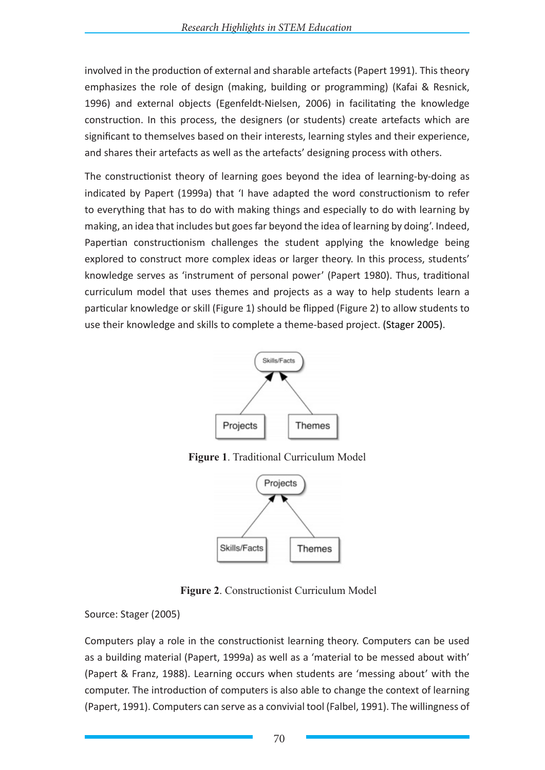involved in the production of external and sharable artefacts (Papert 1991). This theory emphasizes the role of design (making, building or programming) (Kafai & Resnick, 1996) and external objects (Egenfeldt-Nielsen, 2006) in facilitating the knowledge construction. In this process, the designers (or students) create artefacts which are significant to themselves based on their interests, learning styles and their experience, and shares their artefacts as well as the artefacts' designing process with others.

The constructionist theory of learning goes beyond the idea of learning-by-doing as indicated by Papert (1999a) that 'I have adapted the word constructionism to refer to everything that has to do with making things and especially to do with learning by making, an idea that includes but goes far beyond the idea of learning by doing'. Indeed, Papertian constructionism challenges the student applying the knowledge being explored to construct more complex ideas or larger theory. In this process, students' knowledge serves as 'instrument of personal power' (Papert 1980). Thus, traditional curriculum model that uses themes and projects as a way to help students learn a particular knowledge or skill (Figure 1) should be flipped (Figure 2) to allow students to use their knowledge and skills to complete a theme-based project. (Stager 2005).



**Figure 1**. Traditional Curriculum Model



**Figure 2**. Constructionist Curriculum Model

Source: Stager (2005)

Computers play a role in the constructionist learning theory. Computers can be used as a building material (Papert, 1999a) as well as a 'material to be messed about with' (Papert & Franz, 1988). Learning occurs when students are 'messing about' with the computer. The introduction of computers is also able to change the context of learning (Papert, 1991). Computers can serve as a convivial tool (Falbel, 1991). The willingness of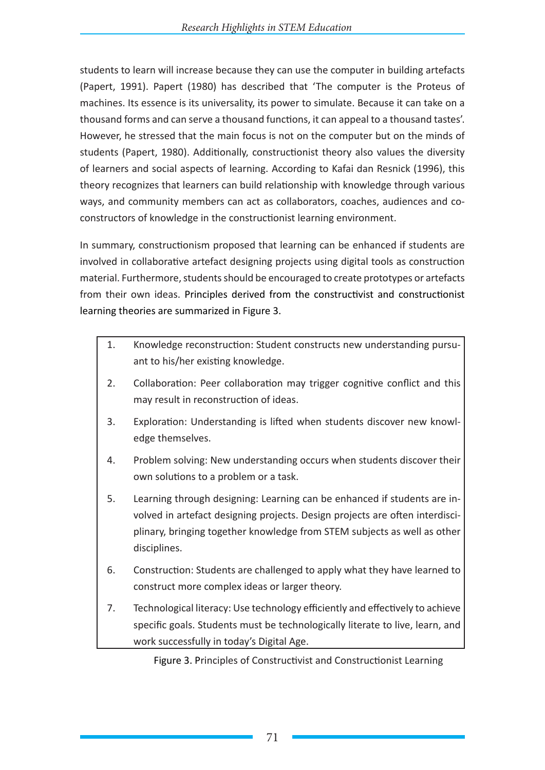students to learn will increase because they can use the computer in building artefacts (Papert, 1991). Papert (1980) has described that 'The computer is the Proteus of machines. Its essence is its universality, its power to simulate. Because it can take on a thousand forms and can serve a thousand functions, it can appeal to a thousand tastes'. However, he stressed that the main focus is not on the computer but on the minds of students (Papert, 1980). Additionally, constructionist theory also values the diversity of learners and social aspects of learning. According to Kafai dan Resnick (1996), this theory recognizes that learners can build relationship with knowledge through various ways, and community members can act as collaborators, coaches, audiences and coconstructors of knowledge in the constructionist learning environment.

In summary, constructionism proposed that learning can be enhanced if students are involved in collaborative artefact designing projects using digital tools as construction material. Furthermore, students should be encouraged to create prototypes or artefacts from their own ideas. Principles derived from the constructivist and constructionist learning theories are summarized in Figure 3.

- 1. Knowledge reconstruction: Student constructs new understanding pursuant to his/her existing knowledge.
- 2. Collaboration: Peer collaboration may trigger cognitive conflict and this may result in reconstruction of ideas.
- 3. Exploration: Understanding is lifted when students discover new knowledge themselves.
- 4. Problem solving: New understanding occurs when students discover their own solutions to a problem or a task.
- 5. Learning through designing: Learning can be enhanced if students are involved in artefact designing projects. Design projects are often interdisciplinary, bringing together knowledge from STEM subjects as well as other disciplines.
- 6. Construction: Students are challenged to apply what they have learned to construct more complex ideas or larger theory.
- 7. Technological literacy: Use technology efficiently and effectively to achieve specific goals. Students must be technologically literate to live, learn, and work successfully in today's Digital Age.

Figure 3. Principles of Constructivist and Constructionist Learning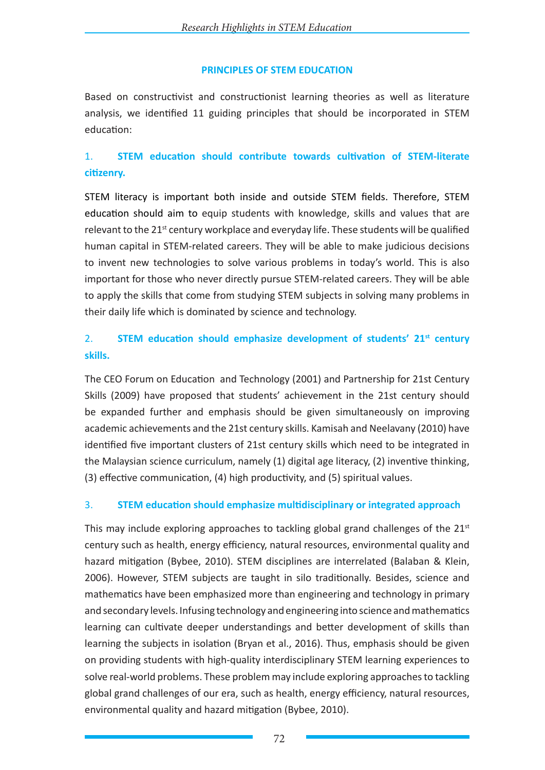### **PRINCIPLES OF STEM EDUCATION**

Based on constructivist and constructionist learning theories as well as literature analysis, we identified 11 guiding principles that should be incorporated in STEM education:

# 1. **STEM education should contribute towards cultivation of STEM-literate citizenry.**

STEM literacy is important both inside and outside STEM fields. Therefore, STEM education should aim to equip students with knowledge, skills and values that are relevant to the 21<sup>st</sup> century workplace and everyday life. These students will be qualified human capital in STEM-related careers. They will be able to make judicious decisions to invent new technologies to solve various problems in today's world. This is also important for those who never directly pursue STEM-related careers. They will be able to apply the skills that come from studying STEM subjects in solving many problems in their daily life which is dominated by science and technology.

# 2. **STEM education should emphasize development of students' 21st century skills.**

The CEO Forum on Education and Technology (2001) and Partnership for 21st Century Skills (2009) have proposed that students' achievement in the 21st century should be expanded further and emphasis should be given simultaneously on improving academic achievements and the 21st century skills. Kamisah and Neelavany (2010) have identified five important clusters of 21st century skills which need to be integrated in the Malaysian science curriculum, namely (1) digital age literacy, (2) inventive thinking, (3) effective communication, (4) high productivity, and (5) spiritual values.

# 3. **STEM education should emphasize multidisciplinary or integrated approach**

This may include exploring approaches to tackling global grand challenges of the  $21<sup>st</sup>$ century such as health, energy efficiency, natural resources, environmental quality and hazard mitigation (Bybee, 2010). STEM disciplines are interrelated (Balaban & Klein, 2006). However, STEM subjects are taught in silo traditionally. Besides, science and mathematics have been emphasized more than engineering and technology in primary and secondary levels. Infusing technology and engineering into science and mathematics learning can cultivate deeper understandings and better development of skills than learning the subjects in isolation (Bryan et al., 2016). Thus, emphasis should be given on providing students with high-quality interdisciplinary STEM learning experiences to solve real-world problems. These problem may include exploring approaches to tackling global grand challenges of our era, such as health, energy efficiency, natural resources, environmental quality and hazard mitigation (Bybee, 2010).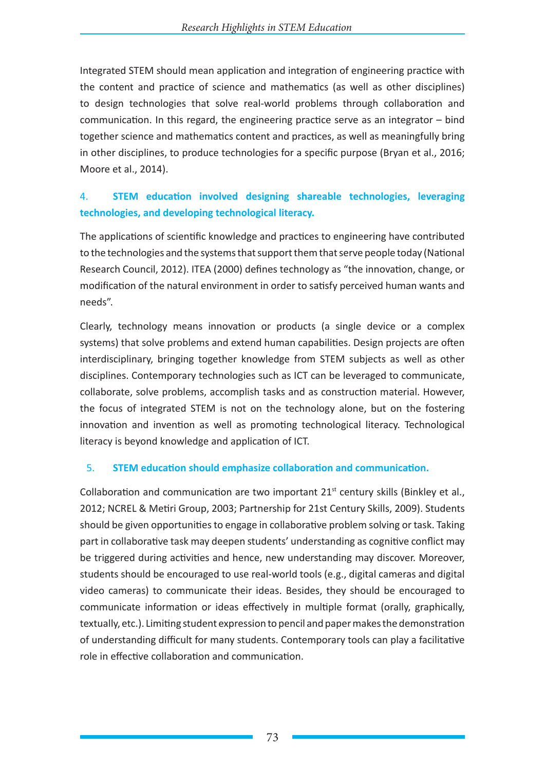Integrated STEM should mean application and integration of engineering practice with the content and practice of science and mathematics (as well as other disciplines) to design technologies that solve real-world problems through collaboration and communication. In this regard, the engineering practice serve as an integrator – bind together science and mathematics content and practices, as well as meaningfully bring in other disciplines, to produce technologies for a specific purpose (Bryan et al., 2016; Moore et al., 2014).

# 4. **STEM education involved designing shareable technologies, leveraging technologies, and developing technological literacy.**

The applications of scientific knowledge and practices to engineering have contributed to the technologies and the systems that support them that serve people today (National Research Council, 2012). ITEA (2000) defines technology as "the innovation, change, or modification of the natural environment in order to satisfy perceived human wants and needs".

Clearly, technology means innovation or products (a single device or a complex systems) that solve problems and extend human capabilities. Design projects are often interdisciplinary, bringing together knowledge from STEM subjects as well as other disciplines. Contemporary technologies such as ICT can be leveraged to communicate, collaborate, solve problems, accomplish tasks and as construction material. However, the focus of integrated STEM is not on the technology alone, but on the fostering innovation and invention as well as promoting technological literacy. Technological literacy is beyond knowledge and application of ICT.

# 5. **STEM education should emphasize collaboration and communication.**

Collaboration and communication are two important  $21^{st}$  century skills (Binkley et al., 2012; NCREL & Metiri Group, 2003; Partnership for 21st Century Skills, 2009). Students should be given opportunities to engage in collaborative problem solving or task. Taking part in collaborative task may deepen students' understanding as cognitive conflict may be triggered during activities and hence, new understanding may discover. Moreover, students should be encouraged to use real-world tools (e.g., digital cameras and digital video cameras) to communicate their ideas. Besides, they should be encouraged to communicate information or ideas effectively in multiple format (orally, graphically, textually, etc.). Limiting student expression to pencil and paper makes the demonstration of understanding difficult for many students. Contemporary tools can play a facilitative role in effective collaboration and communication.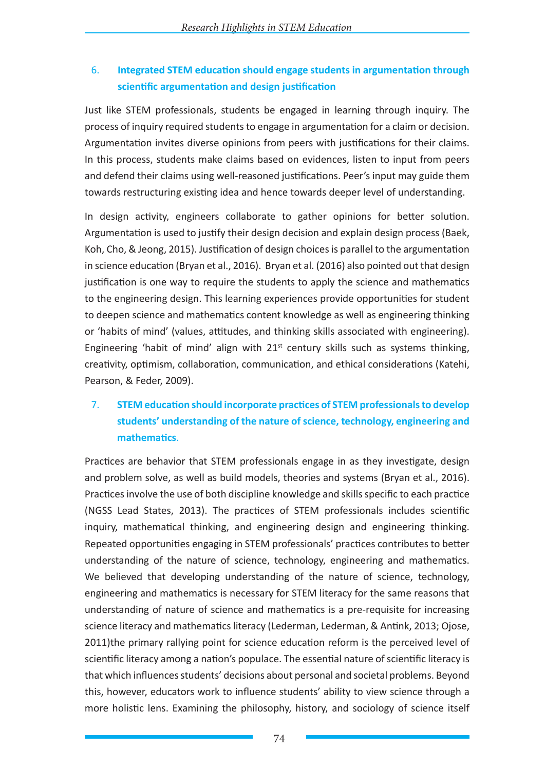# 6. **Integrated STEM education should engage students in argumentation through scientific argumentation and design justification**

Just like STEM professionals, students be engaged in learning through inquiry. The process of inquiry required students to engage in argumentation for a claim or decision. Argumentation invites diverse opinions from peers with justifications for their claims. In this process, students make claims based on evidences, listen to input from peers and defend their claims using well-reasoned justifications. Peer's input may guide them towards restructuring existing idea and hence towards deeper level of understanding.

In design activity, engineers collaborate to gather opinions for better solution. Argumentation is used to justify their design decision and explain design process (Baek, Koh, Cho, & Jeong, 2015). Justification of design choices is parallel to the argumentation in science education (Bryan et al., 2016). Bryan et al. (2016) also pointed out that design justification is one way to require the students to apply the science and mathematics to the engineering design. This learning experiences provide opportunities for student to deepen science and mathematics content knowledge as well as engineering thinking or 'habits of mind' (values, attitudes, and thinking skills associated with engineering). Engineering 'habit of mind' align with  $21<sup>st</sup>$  century skills such as systems thinking, creativity, optimism, collaboration, communication, and ethical considerations (Katehi, Pearson, & Feder, 2009).

# 7. **STEM education should incorporate practices of STEM professionals to develop students' understanding of the nature of science, technology, engineering and mathematics**.

Practices are behavior that STEM professionals engage in as they investigate, design and problem solve, as well as build models, theories and systems (Bryan et al., 2016). Practices involve the use of both discipline knowledge and skills specific to each practice (NGSS Lead States, 2013). The practices of STEM professionals includes scientific inquiry, mathematical thinking, and engineering design and engineering thinking. Repeated opportunities engaging in STEM professionals' practices contributes to better understanding of the nature of science, technology, engineering and mathematics. We believed that developing understanding of the nature of science, technology, engineering and mathematics is necessary for STEM literacy for the same reasons that understanding of nature of science and mathematics is a pre-requisite for increasing science literacy and mathematics literacy (Lederman, Lederman, & Antink, 2013; Ojose, 2011)the primary rallying point for science education reform is the perceived level of scientific literacy among a nation's populace. The essential nature of scientific literacy is that which influences students' decisions about personal and societal problems. Beyond this, however, educators work to influence students' ability to view science through a more holistic lens. Examining the philosophy, history, and sociology of science itself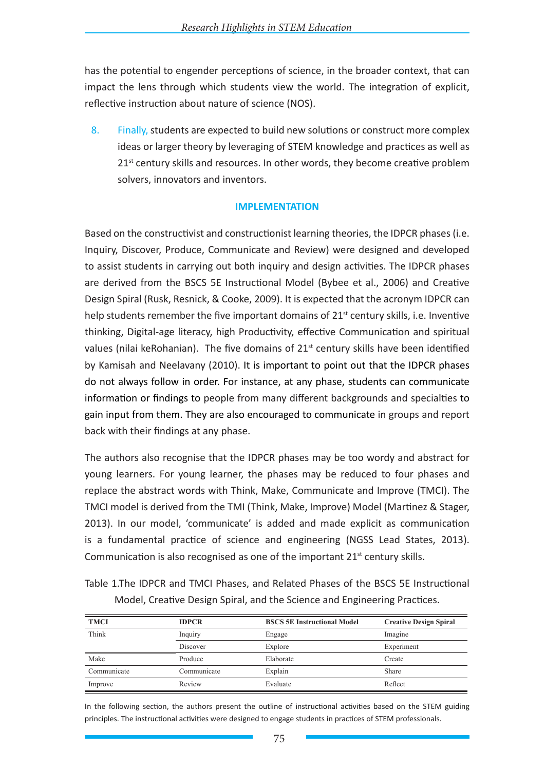has the potential to engender perceptions of science, in the broader context, that can impact the lens through which students view the world. The integration of explicit, reflective instruction about nature of science (NOS).

8. Finally, students are expected to build new solutions or construct more complex ideas or larger theory by leveraging of STEM knowledge and practices as well as  $21<sup>st</sup>$  century skills and resources. In other words, they become creative problem solvers, innovators and inventors.

### **IMPLEMENTATION**

Based on the constructivist and constructionist learning theories, the IDPCR phases (i.e. Inquiry, Discover, Produce, Communicate and Review) were designed and developed to assist students in carrying out both inquiry and design activities. The IDPCR phases are derived from the BSCS 5E Instructional Model (Bybee et al., 2006) and Creative Design Spiral (Rusk, Resnick, & Cooke, 2009). It is expected that the acronym IDPCR can help students remember the five important domains of  $21<sup>st</sup>$  century skills, i.e. Inventive thinking, Digital-age literacy, high Productivity, effective Communication and spiritual values (nilai keRohanian). The five domains of  $21<sup>st</sup>$  century skills have been identified by Kamisah and Neelavany (2010). It is important to point out that the IDPCR phases do not always follow in order. For instance, at any phase, students can communicate information or findings to people from many different backgrounds and specialties to gain input from them. They are also encouraged to communicate in groups and report back with their findings at any phase.

The authors also recognise that the IDPCR phases may be too wordy and abstract for young learners. For young learner, the phases may be reduced to four phases and replace the abstract words with Think, Make, Communicate and Improve (TMCI). The TMCI model is derived from the TMI (Think, Make, Improve) Model (Martinez & Stager, 2013). In our model, 'communicate' is added and made explicit as communication is a fundamental practice of science and engineering (NGSS Lead States, 2013). Communication is also recognised as one of the important  $21<sup>st</sup>$  century skills.

Table 1.The IDPCR and TMCI Phases, and Related Phases of the BSCS 5E Instructional Model, Creative Design Spiral, and the Science and Engineering Practices.

| <b>TMCI</b> | <b>IDPCR</b> | <b>BSCS 5E Instructional Model</b> | <b>Creative Design Spiral</b> |
|-------------|--------------|------------------------------------|-------------------------------|
| Think       | Inquiry      | Engage                             | Imagine                       |
|             | Discover     | Explore                            | Experiment                    |
| Make        | Produce      | Elaborate                          | Create                        |
| Communicate | Communicate  | Explain                            | Share                         |
| Improve     | Review       | Evaluate                           | Reflect                       |

In the following section, the authors present the outline of instructional activities based on the STEM guiding principles. The instructional activities were designed to engage students in practices of STEM professionals.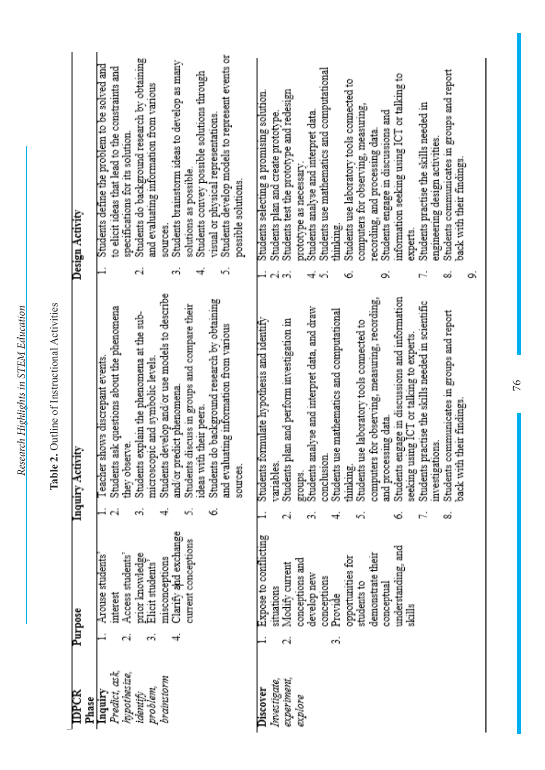| i                         |
|---------------------------|
|                           |
| بروبو<br>׃<br>֖֖֖֚֚֚֚֚֚֚֬ |
| ׇ֚<br>j                   |

| <b>IDPCR</b><br>Phase                                                          | Purpose                                                                                                                                                                                                                        |        | Inquiry Activity                                                                                                                                                                                                                                                                                                                                                                                                                                                                                                                                                                                                      | Design Activity                                                                                                                                                                                                                                                                                                                                                                                                                                                                                                                                                                                                                                                                     |
|--------------------------------------------------------------------------------|--------------------------------------------------------------------------------------------------------------------------------------------------------------------------------------------------------------------------------|--------|-----------------------------------------------------------------------------------------------------------------------------------------------------------------------------------------------------------------------------------------------------------------------------------------------------------------------------------------------------------------------------------------------------------------------------------------------------------------------------------------------------------------------------------------------------------------------------------------------------------------------|-------------------------------------------------------------------------------------------------------------------------------------------------------------------------------------------------------------------------------------------------------------------------------------------------------------------------------------------------------------------------------------------------------------------------------------------------------------------------------------------------------------------------------------------------------------------------------------------------------------------------------------------------------------------------------------|
| Predict, ask,<br>hypothesize,<br>brainstorm<br>problem,<br>Inquiry<br>identify | Clarify and exchange<br>current conceptions<br>prior knowledge<br>Access students'<br>Arouse students<br>misconceptions<br>Elicit students<br>interest<br>cri<br>⊣                                                             | v      | Students develop and/or use models to describe<br>Students do background research by obtaining<br>Students discuss in groups and compare their<br>Students ask questions about the phenomena<br>Students explain the phenomena at the sub-<br>and evaluating information from various<br>Teacher shows discrepant events<br>microscopic and symbolic levels.<br>and/or predict phenomena<br>ideas with their peers.<br>they observe.<br>sources.                                                                                                                                                                      | Students develop models to represent events or<br>Students do background research by obtaining<br>Students brainstorm ideas to develop as many<br>Students define the problem to be solved and<br>to elicit ideas that lead to the constraints and<br>Students convey possible solutions through<br>and evaluating information from various<br>visual or physical representations.<br>specifications for its solution.<br>solutions as possible.<br>possible solutions.<br>sources.<br>ΥŃ<br>οi<br>cri<br>4                                                                                                                                                                         |
| experiment,<br>Investigate,<br>Discover<br>explore                             | Expose to conflicting<br>understanding, and<br>demonstrate their<br>opportunities for<br>conceptions and<br>Modify current<br>develop new<br>conceptions<br>students to<br>conceptual<br>situations<br>Provide<br>skills<br>có | ∞<br>Ó | Students engage in discussions and information<br>seeking using ICT or talking to experts.<br>computers for observing, measuring, recording,<br>Students practise the skills needed in scientific<br>Students analyse and interpret data, and draw<br>Students use mathematics and computational<br>Students communicates in groups and report<br>Students formulate hypothesis and identify<br>Students plan and perform investigation in<br>Students use laboratory tools connected to<br>their findings.<br>and processing data<br>investigations.<br>conclusion<br>vanables.<br>back with<br>thinking.<br>groups. | Students use mathematics and computational<br>Students communicates in groups and report<br>information seeking using ICT or talking to<br>Students use laboratory tools connected to<br>Students test the prototype and redesign<br>Students selecting a promising solution.<br>Students practise the skills needed in<br>computers for observing, measuring,<br>Students engage in discussions and<br>Students analyse and interpret data<br>Students plan and create prototype.<br>recording, and processing data.<br>engineering design activities.<br>back with their findings.<br>prototype as necessary.<br>thinking.<br>experts.<br>o,<br>أوتار<br>4<br>Ġ<br>οó<br>o,<br>۱ń |

# Table 2. Outline of Instructional Activities **Table 2.** Outline of Instructional Activities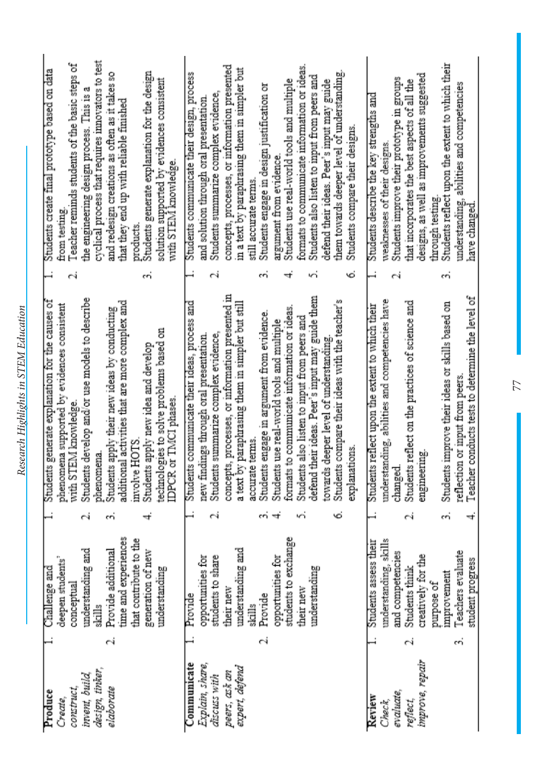| Produce         |    | Challenge and                      |    | Students generate explanation for the causes of                                    | ⊣  | Students create final prototype based on data                                              |
|-----------------|----|------------------------------------|----|------------------------------------------------------------------------------------|----|--------------------------------------------------------------------------------------------|
| Create,         |    | deepen students'                   |    | phenomena supported by evidences consistent                                        |    | from testing                                                                               |
| construct,      |    | conceptual                         |    | with STEM knowledge.                                                               | гġ | Teacher reminds students of the basic steps of                                             |
| invent, build,  |    | understanding and                  | СÍ | Students develop and/or use models to describe                                     |    | the engineering design process. This is a                                                  |
| design, tinker, |    | skills                             |    | phenomena                                                                          |    | cyclical process that requires innovators to test                                          |
| elaborate       |    | Provide additional                 |    | Students apply their new ideas by conducting                                       |    | and redesign creations as often as it takes so                                             |
|                 |    | time and experiences               |    | activities that are more complex and<br>additional                                 |    | that they end up with reliable finished                                                    |
|                 |    | that contribute to the             |    | involve HOTS.                                                                      |    | products.                                                                                  |
|                 |    | generation of new<br>understanding |    | Students apply new idea and develop                                                | m  | Students generate explanation for the design<br>solution supported by evidences consistent |
|                 |    |                                    |    | technologies to solve problems based on<br>IDPCR or TMCI phases                    |    | with STEM knowledge.                                                                       |
| Communicate     |    | Provide                            |    | Students communicate their ideas, process and                                      |    | Students communicate their design, process                                                 |
| Explain, share, |    | opportunities for                  |    | new findings through oral presentation.                                            |    | and solution through oral presentation                                                     |
| discuss with    |    | students to share                  | еś | Students summarize complex evidence,                                               | ٣i | Students summarize complex evidence,                                                       |
| peers, ask an   |    | their new                          |    | concepts, processes, or information presented in                                   |    | concepts, processes, or information presented                                              |
| expert, defend  |    | understanding and                  |    | paraphrasing them in simpler but still<br>a text by J                              |    | in a text by paraphrasing them in simpler but                                              |
|                 |    | skills                             |    | accurate terms                                                                     |    | still accurate terms.                                                                      |
|                 | гÝ | Provide                            |    | Students engage in argument from evidence.                                         | m  | Students engage in design justification or                                                 |
|                 |    | opportunities for                  |    | Students use real-world tools and multiple                                         |    | argument from evidence.                                                                    |
|                 |    | students to exchange               |    | formats to communicate information or ideas                                        |    | Students use real-world tools and multiple                                                 |
|                 |    | their new                          |    | Students also listen to input from peers and                                       |    | formats to communicate information or ideas.                                               |
|                 |    | understanding                      |    | defend their ideas. Peer's input may guide them                                    | ٣í | Students also listen to input from peers and                                               |
|                 |    |                                    |    | towards deeper level of understanding                                              |    | defend their ideas. Peer's input may guide                                                 |
|                 |    |                                    | Ò  | Students compare their ideas with the teacher's                                    |    | them towards deeper level of understanding                                                 |
|                 |    |                                    |    | explanations.                                                                      | Ġ. | Students compare their designs                                                             |
| Review          |    | Students assess their              |    | Students reflect upon the extent to which their                                    |    | Students describe the key strengths and                                                    |
| Check,          |    | understanding, skills              |    | understanding, abilities and competencies have                                     |    | wealmesses of their designs.                                                               |
| evaluate,       |    | and competencies                   |    | changed.                                                                           | ٣i | Students improve their prototype in groups                                                 |
| reflect,        | еÝ | Students think                     |    | Students reflect on the practices of science and                                   |    | that incorporates the best aspects of all the                                              |
| improve, repair |    | creatively for the                 |    | engineering                                                                        |    | designs, as well as improvements suggested                                                 |
|                 |    | improvement<br>purpose of          | có | Students improve their ideas or skills based on                                    | m  | Students reflect upon the extent to which their<br>through testing.                        |
|                 | có | Teachers evaluate                  |    |                                                                                    |    |                                                                                            |
|                 |    | student progress                   | ⇉  | Teacher conducts tests to determine the level of<br>reflection or input from peers |    | understanding, abilities and competencies<br>have changed                                  |
|                 |    |                                    |    |                                                                                    |    |                                                                                            |

Research Highlights in STEM Education *Research Highlights in STEM Education*

77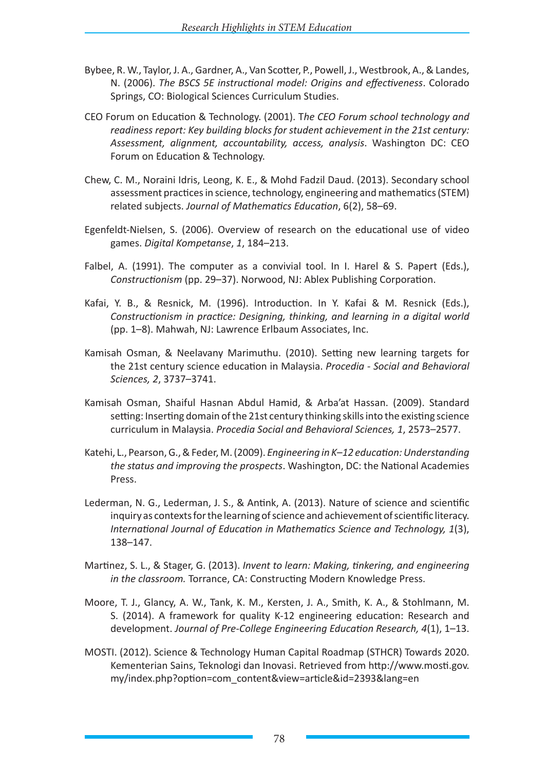- Bybee, R. W., Taylor, J. A., Gardner, A., Van Scotter, P., Powell, J., Westbrook, A., & Landes, N. (2006). *The BSCS 5E instructional model: Origins and effectiveness*. Colorado Springs, CO: Biological Sciences Curriculum Studies.
- CEO Forum on Education & Technology. (2001). T*he CEO Forum school technology and readiness report: Key building blocks for student achievement in the 21st century: Assessment, alignment, accountability, access, analysis*. Washington DC: CEO Forum on Education & Technology.
- Chew, C. M., Noraini Idris, Leong, K. E., & Mohd Fadzil Daud. (2013). Secondary school assessment practices in science, technology, engineering and mathematics (STEM) related subjects. *Journal of Mathematics Education*, 6(2), 58–69.
- Egenfeldt-Nielsen, S. (2006). Overview of research on the educational use of video games. *Digital Kompetanse*, *1*, 184–213.
- Falbel, A. (1991). The computer as a convivial tool. In I. Harel & S. Papert (Eds.), *Constructionism* (pp. 29–37). Norwood, NJ: Ablex Publishing Corporation.
- Kafai, Y. B., & Resnick, M. (1996). Introduction. In Y. Kafai & M. Resnick (Eds.), *Constructionism in practice: Designing, thinking, and learning in a digital world*  (pp. 1–8). Mahwah, NJ: Lawrence Erlbaum Associates, Inc.
- Kamisah Osman, & Neelavany Marimuthu. (2010). Setting new learning targets for the 21st century science education in Malaysia. *Procedia - Social and Behavioral Sciences, 2*, 3737–3741.
- Kamisah Osman, Shaiful Hasnan Abdul Hamid, & Arba'at Hassan. (2009). Standard setting: Inserting domain of the 21st century thinking skills into the existing science curriculum in Malaysia. *Procedia Social and Behavioral Sciences, 1*, 2573–2577.
- Katehi, L., Pearson, G., & Feder, M. (2009). *Engineering in K–12 education: Understanding the status and improving the prospects*. Washington, DC: the National Academies Press.
- Lederman, N. G., Lederman, J. S., & Antink, A. (2013). Nature of science and scientific inquiry as contexts for the learning of science and achievement of scientific literacy. *International Journal of Education in Mathematics Science and Technology, 1*(3), 138–147.
- Martinez, S. L., & Stager, G. (2013). *Invent to learn: Making, tinkering, and engineering in the classroom.* Torrance, CA: Constructing Modern Knowledge Press.
- Moore, T. J., Glancy, A. W., Tank, K. M., Kersten, J. A., Smith, K. A., & Stohlmann, M. S. (2014). A framework for quality K-12 engineering education: Research and development. *Journal of Pre-College Engineering Education Research, 4*(1), 1–13.
- MOSTI. (2012). Science & Technology Human Capital Roadmap (STHCR) Towards 2020. Kementerian Sains, Teknologi dan Inovasi. Retrieved from http://www.mosti.gov. my/index.php?option=com\_content&view=article&id=2393&lang=en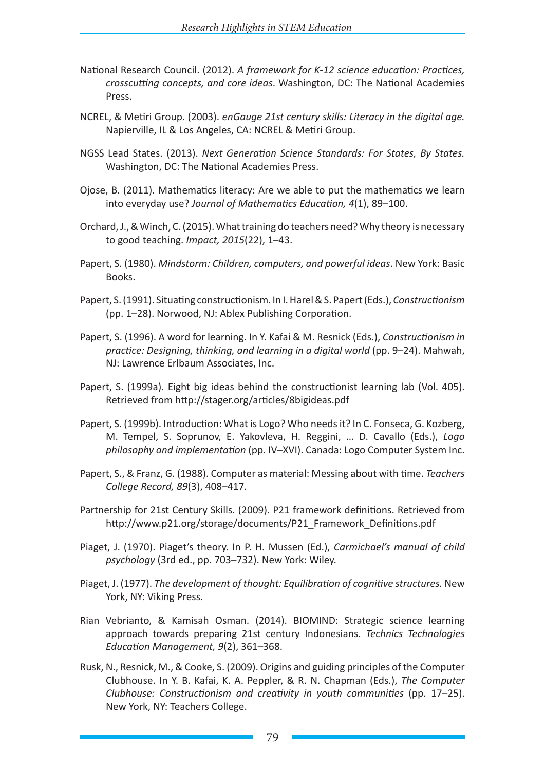- National Research Council. (2012). *A framework for K-12 science education: Practices, crosscutting concepts, and core ideas*. Washington, DC: The National Academies Press.
- NCREL, & Metiri Group. (2003). *enGauge 21st century skills: Literacy in the digital age.* Napierville, IL & Los Angeles, CA: NCREL & Metiri Group.
- NGSS Lead States. (2013). *Next Generation Science Standards: For States, By States.* Washington, DC: The National Academies Press.
- Ojose, B. (2011). Mathematics literacy: Are we able to put the mathematics we learn into everyday use? *Journal of Mathematics Education, 4*(1), 89–100.
- Orchard, J., & Winch, C. (2015). What training do teachers need? Why theory is necessary to good teaching. *Impact, 2015*(22), 1–43.
- Papert, S. (1980). *Mindstorm: Children, computers, and powerful ideas*. New York: Basic Books.
- Papert, S. (1991). Situating constructionism. In I. Harel & S. Papert (Eds.), *Constructionism* (pp. 1–28). Norwood, NJ: Ablex Publishing Corporation.
- Papert, S. (1996). A word for learning. In Y. Kafai & M. Resnick (Eds.), *Constructionism in practice: Designing, thinking, and learning in a digital world* (pp. 9–24). Mahwah, NJ: Lawrence Erlbaum Associates, Inc.
- Papert, S. (1999a). Eight big ideas behind the constructionist learning lab (Vol. 405). Retrieved from http://stager.org/articles/8bigideas.pdf
- Papert, S. (1999b). Introduction: What is Logo? Who needs it? In C. Fonseca, G. Kozberg, M. Tempel, S. Soprunov, E. Yakovleva, H. Reggini, … D. Cavallo (Eds.), *Logo philosophy and implementation* (pp. IV–XVI). Canada: Logo Computer System Inc.
- Papert, S., & Franz, G. (1988). Computer as material: Messing about with time. *Teachers College Record, 89*(3), 408–417.
- Partnership for 21st Century Skills. (2009). P21 framework definitions. Retrieved from http://www.p21.org/storage/documents/P21\_Framework\_Definitions.pdf
- Piaget, J. (1970). Piaget's theory. In P. H. Mussen (Ed.), *Carmichael's manual of child psychology* (3rd ed., pp. 703–732). New York: Wiley.
- Piaget, J. (1977). *The development of thought: Equilibration of cognitive structures.* New York, NY: Viking Press.
- Rian Vebrianto, & Kamisah Osman. (2014). BIOMIND: Strategic science learning approach towards preparing 21st century Indonesians. *Technics Technologies Education Management, 9*(2), 361–368.
- Rusk, N., Resnick, M., & Cooke, S. (2009). Origins and guiding principles of the Computer Clubhouse. In Y. B. Kafai, K. A. Peppler, & R. N. Chapman (Eds.), *The Computer Clubhouse: Constructionism and creativity in youth communities* (pp. 17–25). New York, NY: Teachers College.